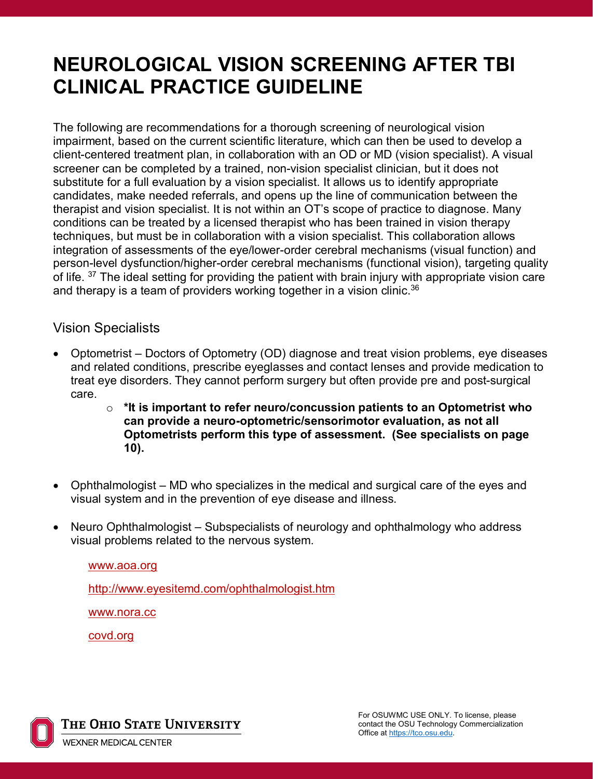# **NEUROLOGICAL VISION SCREENING AFTER TBI CLINICAL PRACTICE GUIDELINE**

The following are recommendations for a thorough screening of neurological vision impairment, based on the current scientific literature, which can then be used to develop a client-centered treatment plan, in collaboration with an OD or MD (vision specialist). A visual screener can be completed by a trained, non-vision specialist clinician, but it does not substitute for a full evaluation by a vision specialist. It allows us to identify appropriate candidates, make needed referrals, and opens up the line of communication between the therapist and vision specialist. It is not within an OT's scope of practice to diagnose. Many conditions can be treated by a licensed therapist who has been trained in vision therapy techniques, but must be in collaboration with a vision specialist. This collaboration allows integration of assessments of the eye/lower-order cerebral mechanisms (visual function) and person-level dysfunction/higher-order cerebral mechanisms (functional vision), targeting quality of life. <sup>37</sup> The ideal setting for providing the patient with brain injury with appropriate vision care and therapy is a team of providers working together in a vision clinic.<sup>36</sup>

### Vision Specialists

- Optometrist Doctors of Optometry (OD) diagnose and treat vision problems, eye diseases and related conditions, prescribe eyeglasses and contact lenses and provide medication to treat eye disorders. They cannot perform surgery but often provide pre and post-surgical care.
	- o **\*It is important to refer neuro/concussion patients to an Optometrist who can provide a neuro-optometric/sensorimotor evaluation, as not all Optometrists perform this type of assessment. (See specialists on page 10).**
- Ophthalmologist MD who specializes in the medical and surgical care of the eyes and visual system and in the prevention of eye disease and illness.
- Neuro Ophthalmologist Subspecialists of neurology and ophthalmology who address visual problems related to the nervous system.

[www.aoa.org](http://www.aoa.org/)

<http://www.eyesitemd.com/ophthalmologist.htm>

[www.nora.cc](http://www.nora.cc/)

covd.org



The Ohio State University **WEXNER MEDICAL CENTER**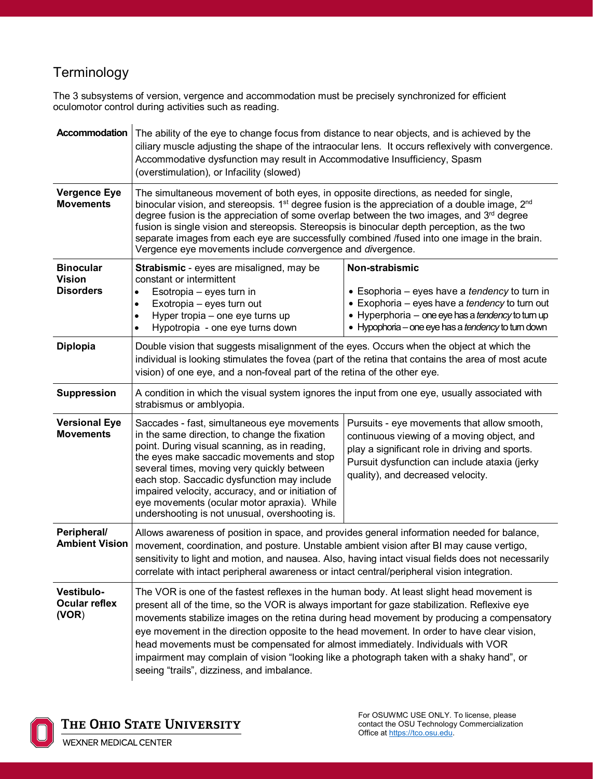# Terminology

The 3 subsystems of version, vergence and accommodation must be precisely synchronized for efficient oculomotor control during activities such as reading.

| Accommodation                                         | The ability of the eye to change focus from distance to near objects, and is achieved by the<br>ciliary muscle adjusting the shape of the intraocular lens. It occurs reflexively with convergence.<br>Accommodative dysfunction may result in Accommodative Insufficiency, Spasm<br>(overstimulation), or Infacility (slowed)                                                                                                                                                                                                                                                                                                                                                     |                                                                                                                                                                                                                              |  |
|-------------------------------------------------------|------------------------------------------------------------------------------------------------------------------------------------------------------------------------------------------------------------------------------------------------------------------------------------------------------------------------------------------------------------------------------------------------------------------------------------------------------------------------------------------------------------------------------------------------------------------------------------------------------------------------------------------------------------------------------------|------------------------------------------------------------------------------------------------------------------------------------------------------------------------------------------------------------------------------|--|
| <b>Vergence Eye</b><br><b>Movements</b>               | The simultaneous movement of both eyes, in opposite directions, as needed for single,<br>binocular vision, and stereopsis. $1st$ degree fusion is the appreciation of a double image, $2nd$<br>degree fusion is the appreciation of some overlap between the two images, and 3 <sup>rd</sup> degree<br>fusion is single vision and stereopsis. Stereopsis is binocular depth perception, as the two<br>separate images from each eye are successfully combined /fused into one image in the brain.<br>Vergence eye movements include convergence and divergence.                                                                                                                   |                                                                                                                                                                                                                              |  |
| <b>Binocular</b><br><b>Vision</b><br><b>Disorders</b> | Strabismic - eyes are misaligned, may be<br>constant or intermittent<br>Esotropia - eyes turn in<br>٠<br>Exotropia - eyes turn out<br>$\bullet$<br>Hyper tropia - one eye turns up<br>$\bullet$<br>Hypotropia - one eye turns down<br>$\bullet$                                                                                                                                                                                                                                                                                                                                                                                                                                    | Non-strabismic<br>• Esophoria – eyes have a tendency to turn in<br>• Exophoria - eyes have a tendency to turn out<br>• Hyperphoria - one eye has a tendency to turn up<br>• Hypophoria – one eye has a tendency to turn down |  |
| <b>Diplopia</b>                                       | Double vision that suggests misalignment of the eyes. Occurs when the object at which the<br>individual is looking stimulates the fovea (part of the retina that contains the area of most acute<br>vision) of one eye, and a non-foveal part of the retina of the other eye.                                                                                                                                                                                                                                                                                                                                                                                                      |                                                                                                                                                                                                                              |  |
| <b>Suppression</b>                                    | A condition in which the visual system ignores the input from one eye, usually associated with<br>strabismus or amblyopia.                                                                                                                                                                                                                                                                                                                                                                                                                                                                                                                                                         |                                                                                                                                                                                                                              |  |
| <b>Versional Eye</b><br><b>Movements</b>              | Saccades - fast, simultaneous eye movements<br>Pursuits - eye movements that allow smooth,<br>in the same direction, to change the fixation<br>continuous viewing of a moving object, and<br>point. During visual scanning, as in reading,<br>play a significant role in driving and sports.<br>the eyes make saccadic movements and stop<br>Pursuit dysfunction can include ataxia (jerky<br>several times, moving very quickly between<br>quality), and decreased velocity.<br>each stop. Saccadic dysfunction may include<br>impaired velocity, accuracy, and or initiation of<br>eye movements (ocular motor apraxia). While<br>undershooting is not unusual, overshooting is. |                                                                                                                                                                                                                              |  |
| Peripheral/<br><b>Ambient Vision</b>                  | Allows awareness of position in space, and provides general information needed for balance,<br>movement, coordination, and posture. Unstable ambient vision after BI may cause vertigo,<br>sensitivity to light and motion, and nausea. Also, having intact visual fields does not necessarily<br>correlate with intact peripheral awareness or intact central/peripheral vision integration.                                                                                                                                                                                                                                                                                      |                                                                                                                                                                                                                              |  |
| Vestibulo-<br><b>Ocular reflex</b><br>(VOR)           | The VOR is one of the fastest reflexes in the human body. At least slight head movement is<br>present all of the time, so the VOR is always important for gaze stabilization. Reflexive eye<br>movements stabilize images on the retina during head movement by producing a compensatory<br>eye movement in the direction opposite to the head movement. In order to have clear vision,<br>head movements must be compensated for almost immediately. Individuals with VOR<br>impairment may complain of vision "looking like a photograph taken with a shaky hand", or<br>seeing "trails", dizziness, and imbalance.                                                              |                                                                                                                                                                                                                              |  |

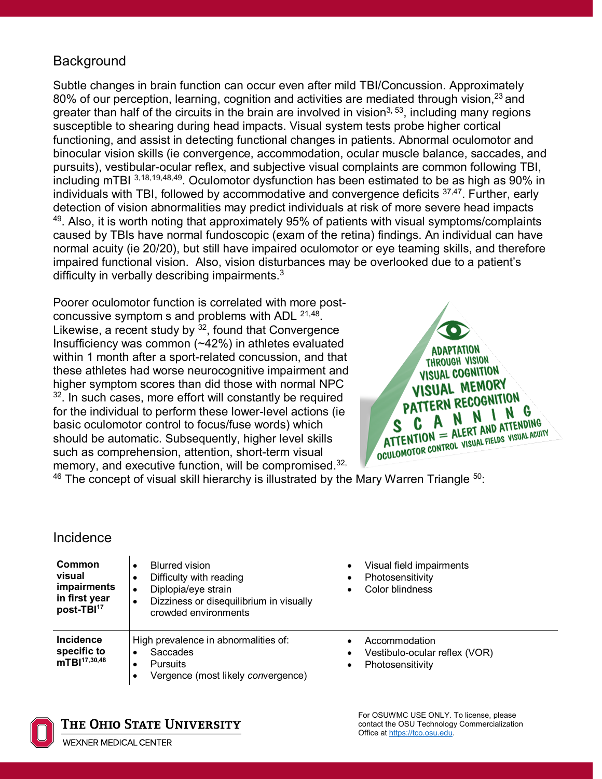# **Background**

Subtle changes in brain function can occur even after mild TBI/Concussion. Approximately 80% of our perception, learning, cognition and activities are mediated through vision,<sup>23</sup> and greater than half of the circuits in the brain are involved in vision<sup>3, 53</sup>, including many regions susceptible to shearing during head impacts. Visual system tests probe higher cortical functioning, and assist in detecting functional changes in patients. Abnormal oculomotor and binocular vision skills (ie convergence, accommodation, ocular muscle balance, saccades, and pursuits), vestibular-ocular reflex, and subjective visual complaints are common following TBI, including mTBI 3,18,19,48,49. Oculomotor dysfunction has been estimated to be as high as 90% in individuals with TBI, followed by accommodative and convergence deficits  $37,47$ . Further, early detection of vision abnormalities may predict individuals at risk of more severe head impacts  $49$ . Also, it is worth noting that approximately 95% of patients with visual symptoms/complaints caused by TBIs have normal fundoscopic (exam of the retina) findings. An individual can have normal acuity (ie 20/20), but still have impaired oculomotor or eye teaming skills, and therefore impaired functional vision. Also, vision disturbances may be overlooked due to a patient's difficulty in verbally describing impairments.3

Poorer oculomotor function is correlated with more postconcussive symptom s and problems with ADL 21,48. Likewise, a recent study by  $32$ , found that Convergence Insufficiency was common (~42%) in athletes evaluated within 1 month after a sport-related concussion, and that these athletes had worse neurocognitive impairment and higher symptom scores than did those with normal NPC  $32$ . In such cases, more effort will constantly be required for the individual to perform these lower-level actions (ie basic oculomotor control to focus/fuse words) which should be automatic. Subsequently, higher level skills such as comprehension, attention, short-term visual memory, and executive function, will be compromised.<sup>32,</sup>



 $46$  The concept of visual skill hierarchy is illustrated by the Mary Warren Triangle  $50$ :

### Incidence

| <b>Common</b><br>visual<br>impairments<br>in first year<br>post-TBI <sup>17</sup>                                                                                                  | <b>Blurred vision</b><br>٠<br>Difficulty with reading<br>Diplopia/eye strain<br>Dizziness or disequilibrium in visually<br>crowded environments | Visual field impairments<br>Photosensitivity<br>٠<br>Color blindness            |
|------------------------------------------------------------------------------------------------------------------------------------------------------------------------------------|-------------------------------------------------------------------------------------------------------------------------------------------------|---------------------------------------------------------------------------------|
| <b>Incidence</b><br>High prevalence in abnormalities of:<br>specific to<br>Saccades<br>٠<br>mTBl <sup>17,30,48</sup><br><b>Pursuits</b><br>٠<br>Vergence (most likely convergence) |                                                                                                                                                 | Accommodation<br>Vestibulo-ocular reflex (VOR)<br>Photosensitivity<br>$\bullet$ |



The Ohio State University

WEXNER MEDICAL CENTER

For OSUWMC USE ONLY. To license, please contact the OSU Technology Commercialization Office at https://tco.osu.edu.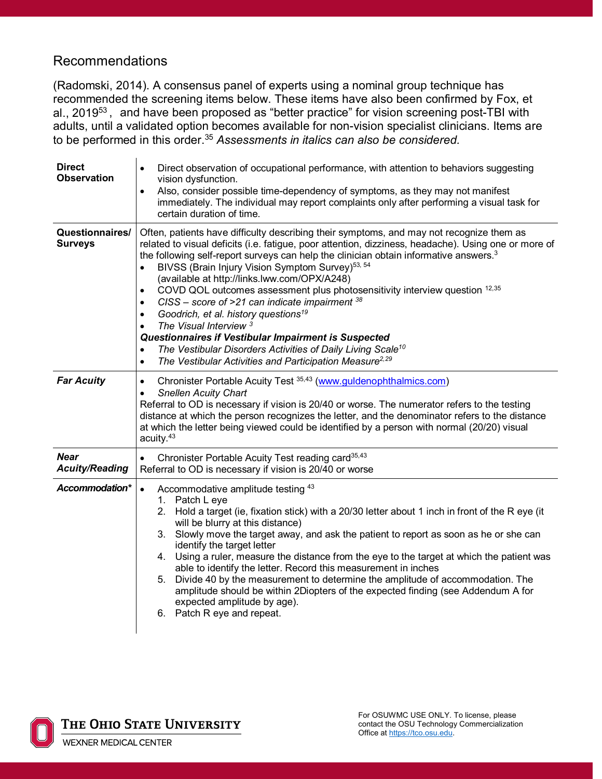## Recommendations

(Radomski, 2014). A consensus panel of experts using a nominal group technique has recommended the screening items below. These items have also been confirmed by Fox, et al., 2019<sup>53</sup>, and have been proposed as "better practice" for vision screening post-TBI with adults, until a validated option becomes available for non-vision specialist clinicians. Items are to be performed in this order.35 *Assessments in italics can also be considered.*

| <b>Direct</b><br><b>Observation</b>  | Direct observation of occupational performance, with attention to behaviors suggesting<br>$\bullet$<br>vision dysfunction.<br>Also, consider possible time-dependency of symptoms, as they may not manifest<br>immediately. The individual may report complaints only after performing a visual task for<br>certain duration of time.                                                                                                                                                                                                                                                                                                                                                                                                                                                                                                                                                                                             |  |
|--------------------------------------|-----------------------------------------------------------------------------------------------------------------------------------------------------------------------------------------------------------------------------------------------------------------------------------------------------------------------------------------------------------------------------------------------------------------------------------------------------------------------------------------------------------------------------------------------------------------------------------------------------------------------------------------------------------------------------------------------------------------------------------------------------------------------------------------------------------------------------------------------------------------------------------------------------------------------------------|--|
| Questionnaires/<br><b>Surveys</b>    | Often, patients have difficulty describing their symptoms, and may not recognize them as<br>related to visual deficits (i.e. fatigue, poor attention, dizziness, headache). Using one or more of<br>the following self-report surveys can help the clinician obtain informative answers. <sup>3</sup><br>BIVSS (Brain Injury Vision Symptom Survey) <sup>53, 54</sup><br>(available at http://links.lww.com/OPX/A248)<br>COVD QOL outcomes assessment plus photosensitivity interview question 12,35<br>$\bullet$<br>CISS – score of >21 can indicate impairment $38$<br>$\bullet$<br>Goodrich, et al. history questions <sup>19</sup><br>$\bullet$<br>The Visual Interview <sup>3</sup><br>٠<br>Questionnaires if Vestibular Impairment is Suspected<br>The Vestibular Disorders Activities of Daily Living Scale <sup>10</sup><br>$\bullet$<br>The Vestibular Activities and Participation Measure <sup>2,29</sup><br>$\bullet$ |  |
| <b>Far Acuity</b>                    | Chronister Portable Acuity Test 35,43 (www.guldenophthalmics.com)<br>$\bullet$<br><b>Snellen Acuity Chart</b><br>$\bullet$<br>Referral to OD is necessary if vision is 20/40 or worse. The numerator refers to the testing<br>distance at which the person recognizes the letter, and the denominator refers to the distance<br>at which the letter being viewed could be identified by a person with normal (20/20) visual<br>acuity. <sup>43</sup>                                                                                                                                                                                                                                                                                                                                                                                                                                                                              |  |
| <b>Near</b><br><b>Acuity/Reading</b> | Chronister Portable Acuity Test reading card <sup>35,43</sup><br>Referral to OD is necessary if vision is 20/40 or worse                                                                                                                                                                                                                                                                                                                                                                                                                                                                                                                                                                                                                                                                                                                                                                                                          |  |
| Accommodation*                       | Accommodative amplitude testing 43<br>$\bullet$<br>1. Patch L eye<br>Hold a target (ie, fixation stick) with a 20/30 letter about 1 inch in front of the R eye (it<br>2.<br>will be blurry at this distance)<br>3. Slowly move the target away, and ask the patient to report as soon as he or she can<br>identify the target letter<br>Using a ruler, measure the distance from the eye to the target at which the patient was<br>4.<br>able to identify the letter. Record this measurement in inches<br>5. Divide 40 by the measurement to determine the amplitude of accommodation. The<br>amplitude should be within 2Diopters of the expected finding (see Addendum A for<br>expected amplitude by age).<br>6. Patch R eye and repeat.                                                                                                                                                                                      |  |

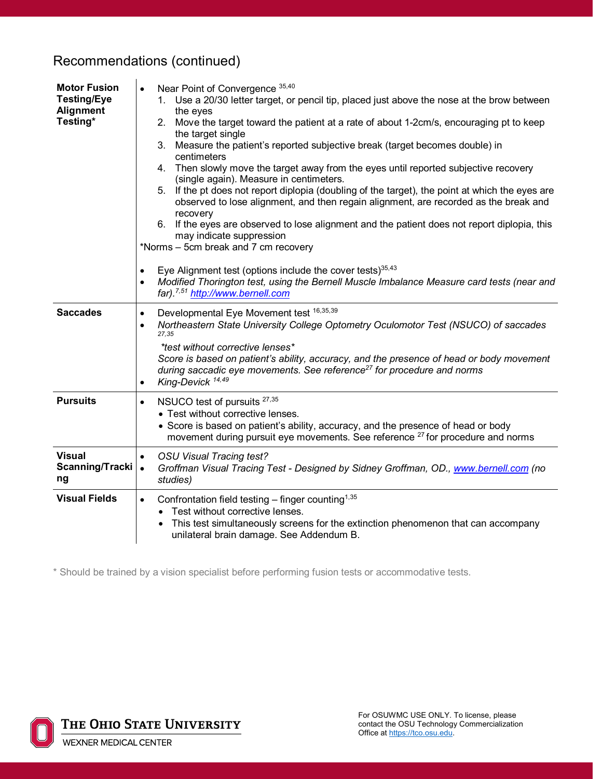#### **Motor Fusion Testing/Eye Alignment Testing\***  Near Point of Convergence 35,40 1. Use a 20/30 letter target, or pencil tip, placed just above the nose at the brow between the eyes 2. Move the target toward the patient at a rate of about 1-2cm/s, encouraging pt to keep the target single 3. Measure the patient's reported subjective break (target becomes double) in centimeters 4. Then slowly move the target away from the eyes until reported subjective recovery (single again). Measure in centimeters. 5. If the pt does not report diplopia (doubling of the target), the point at which the eyes are observed to lose alignment, and then regain alignment, are recorded as the break and recovery 6. If the eyes are observed to lose alignment and the patient does not report diplopia, this may indicate suppression \*Norms – 5cm break and 7 cm recovery  $\bullet$  Eye Alignment test (options include the cover tests)<sup>35,43</sup> • *Modified Thorington test, using the Bernell Muscle Imbalance Measure card tests (near and far).7,51 [http://www.bernell.com](http://www.bernell.com/)* Saccades | Developmental Eye Movement test 16,35,39 • *Northeastern State University College Optometry Oculomotor Test (NSUCO) of saccades 27,35 \*test without corrective lenses\* Score is based on patient's ability, accuracy, and the presence of head or body movement during saccadic eye movements. See reference27 for procedure and norms* • *King-Devick 14,49* **Pursuits •** NSUCO test of pursuits <sup>27,35</sup> • Test without corrective lenses. • Score is based on patient's ability, accuracy, and the presence of head or body movement during pursuit eye movements. See reference  $27$  for procedure and norms **Visual Scanning/Tracki ng** • *OSU Visual Tracing test?* • *Groffman Visual Tracing Test - Designed by Sidney Groffman, OD., [www.bernell.com](http://www.bernell.com/) (no studies)* **Visual Fields**  $\bullet$  Confrontation field testing – finger counting<sup>1,35</sup> • Test without corrective lenses. • This test simultaneously screens for the extinction phenomenon that can accompany unilateral brain damage. See Addendum B.

Recommendations (continued)

\* Should be trained by a vision specialist before performing fusion tests or accommodative tests.

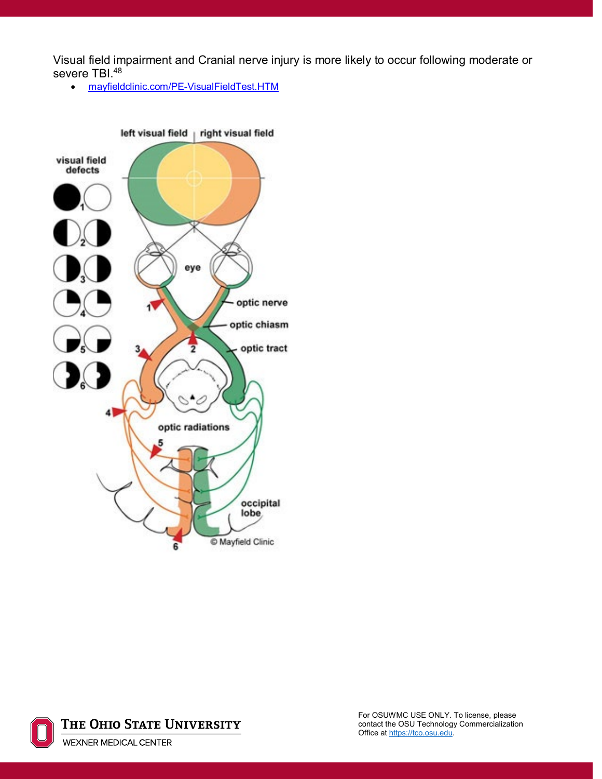Visual field impairment and Cranial nerve injury is more likely to occur following moderate or severe TBI.<sup>48</sup>

• [mayfieldclinic.com/PE-VisualFieldTest.HTM](file://OSUMC.EDU/DFS/Users/O/omia02/mayfieldclinic.com/PE-VisualFieldTest.HTM)



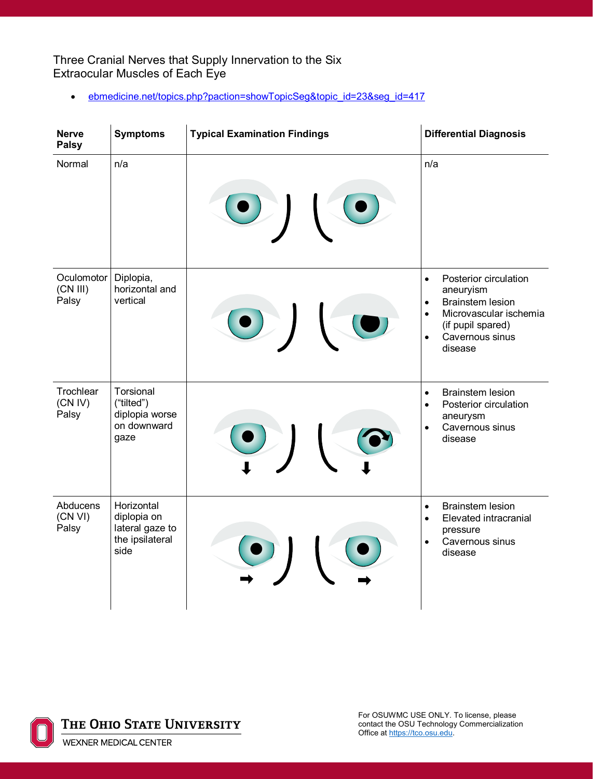Three Cranial Nerves that Supply Innervation to the Six Extraocular Muscles of Each Eye

• [ebmedicine.net/topics.php?paction=showTopicSeg&topic\\_id=23&seg\\_id=417](file://OSUMC.EDU/DFS/Users/O/omia02/ebmedicine.net/topics.php?paction=showTopicSeg&topic_id=23&seg_id=417)

| <b>Nerve</b><br><b>Palsy</b>    | <b>Symptoms</b>                                                         | <b>Typical Examination Findings</b> | <b>Differential Diagnosis</b>                                                                                                                                                                  |
|---------------------------------|-------------------------------------------------------------------------|-------------------------------------|------------------------------------------------------------------------------------------------------------------------------------------------------------------------------------------------|
| Normal                          | n/a                                                                     |                                     | n/a                                                                                                                                                                                            |
| Oculomotor<br>(CN III)<br>Palsy | Diplopia,<br>horizontal and<br>vertical                                 |                                     | Posterior circulation<br>$\bullet$<br>aneuryism<br><b>Brainstem lesion</b><br>$\bullet$<br>Microvascular ischemia<br>$\bullet$<br>(if pupil spared)<br>Cavernous sinus<br>$\bullet$<br>disease |
| Trochlear<br>(CN IV)<br>Palsy   | Torsional<br>("tilted")<br>diplopia worse<br>on downward<br>gaze        |                                     | <b>Brainstem lesion</b><br>$\bullet$<br>Posterior circulation<br>$\bullet$<br>aneurysm<br>Cavernous sinus<br>disease                                                                           |
| Abducens<br>(CN VI)<br>Palsy    | Horizontal<br>diplopia on<br>lateral gaze to<br>the ipsilateral<br>side |                                     | <b>Brainstem lesion</b><br>$\bullet$<br>Elevated intracranial<br>$\bullet$<br>pressure<br>Cavernous sinus<br>$\bullet$<br>disease                                                              |

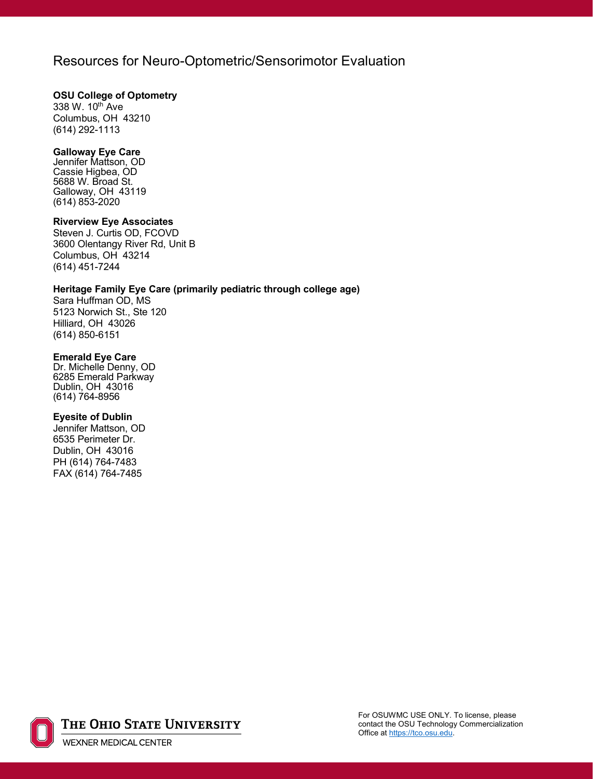### Resources for Neuro-Optometric/Sensorimotor Evaluation

#### **OSU College of Optometry**

338 W. 10th Ave Columbus, OH 43210 (614) 292-1113

#### **Galloway Eye Care**

Jennifer Mattson, OD Cassie Higbea, OD 5688 W. Broad St. Galloway, OH 43119 (614) 853-2020

#### **Riverview Eye Associates**

Steven J. Curtis OD, FCOVD 3600 Olentangy River Rd, Unit B Columbus, OH 43214 (614) 451-7244

#### **Heritage Family Eye Care (primarily pediatric through college age)**

Sara Huffman OD, MS 5123 Norwich St., Ste 120 Hilliard, OH 43026 (614) 850-6151

#### **Emerald Eye Care**

Dr. Michelle Denny, OD 6285 Emerald Parkway Dublin, OH 43016 (614) 764-8956

#### **Eyesite of Dublin**

Jennifer Mattson, OD 6535 Perimeter Dr. Dublin, OH 43016 PH (614) 764-7483 FAX (614) 764-7485

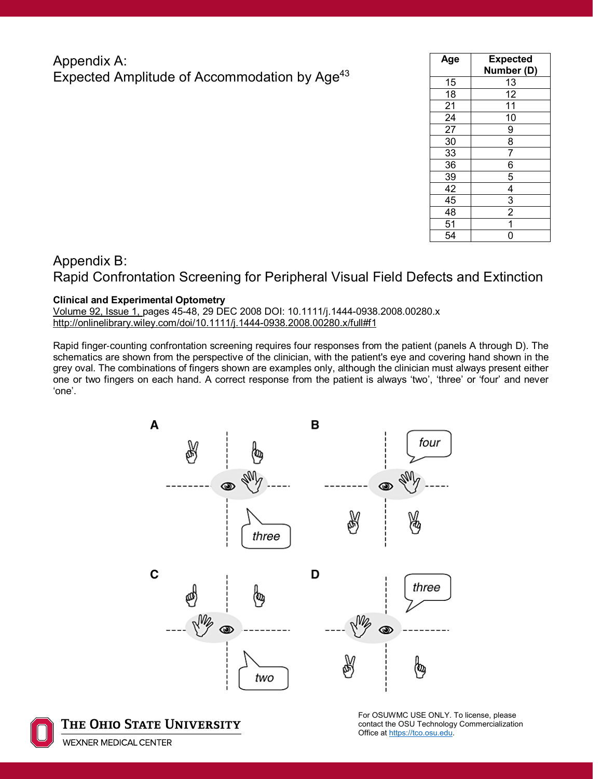### Appendix A: Expected Amplitude of Accommodation by Age<sup>43</sup>

| Age | <b>Expected</b><br>Number (D) |
|-----|-------------------------------|
| 15  | 13                            |
| 18  | 12                            |
| 21  | 11                            |
| 24  | 10                            |
| 27  | 9                             |
| 30  | $\overline{8}$                |
| 33  | $\overline{7}$                |
| 36  | $\overline{6}$                |
| 39  | $\frac{5}{4}$ $\frac{4}{2}$   |
| 42  |                               |
| 45  |                               |
| 48  |                               |
| 51  | $\overline{1}$                |
| 54  | Ó                             |

# Appendix B: Rapid Confrontation Screening for Peripheral Visual Field Defects and Extinction

#### **Clinical and Experimental Optometry**

[Volume 92, Issue 1, p](http://onlinelibrary.wiley.com/doi/10.1111/cxo.2009.92.issue-1/issuetoc)ages 45-48, 29 DEC 2008 DOI: 10.1111/j.1444-0938.2008.00280.x [http://onlinelibrary.wiley.com/doi/10.1111/j.1444-0938.2008.00280.x/full#f1](http://onlinelibrary.wiley.com/doi/10.1111/j.1444-0938.2008.00280.x/full)

Rapid finger‐counting confrontation screening requires four responses from the patient (panels A through D). The schematics are shown from the perspective of the clinician, with the patient's eye and covering hand shown in the grey oval. The combinations of fingers shown are examples only, although the clinician must always present either one or two fingers on each hand. A correct response from the patient is always 'two', 'three' or 'four' and never 'one'.



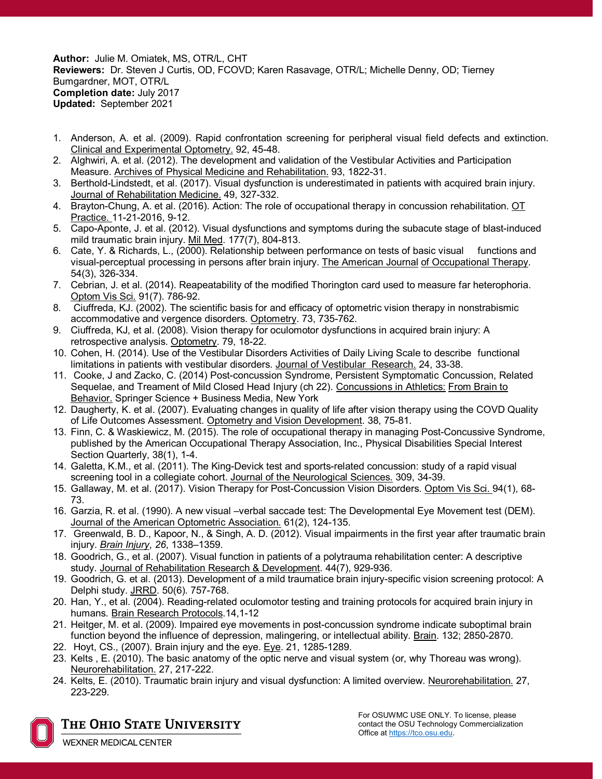**Author:** Julie M. Omiatek, MS, OTR/L, CHT **Reviewers:** Dr. Steven J Curtis, OD, FCOVD; Karen Rasavage, OTR/L; Michelle Denny, OD; Tierney Bumgardner, MOT, OTR/L **Completion date:** July 2017 **Updated:** September 2021

- 1. Anderson, A. et al. (2009). Rapid confrontation screening for peripheral visual field defects and extinction. Clinical and Experimental Optometry. 92, 45-48.
- 2. Alghwiri, A. et al. (2012). The development and validation of the Vestibular Activities and Participation Measure. Archives of Physical Medicine and Rehabilitation. 93, 1822-31.
- 3. Berthold-Lindstedt, et al. (2017). Visual dysfunction is underestimated in patients with acquired brain injury. Journal of Rehabilitation Medicine. 49, 327-332.
- 4. Brayton-Chung, A. et al. (2016). Action: The role of occupational therapy in concussion rehabilitation. OT Practice. 11-21-2016, 9-12.
- 5. Capo-Aponte, J. et al. (2012). Visual dysfunctions and symptoms during the subacute stage of blast-induced mild traumatic brain injury. Mil Med. 177(7), 804-813.
- 6. Cate, Y. & Richards, L., (2000). Relationship between performance on tests of basic visual functions and visual-perceptual processing in persons after brain injury. The American Journal of Occupational Therapy. 54(3), 326-334.
- 7. Cebrian, J. et al. (2014). Reapeatability of the modified Thorington card used to measure far heterophoria. Optom Vis Sci. 91(7). 786-92.
- 8. Ciuffreda, KJ. (2002). The scientific basis for and efficacy of optometric vision therapy in nonstrabismic accommodative and vergence disorders. Optometry. 73, 735-762.
- 9. Ciuffreda, KJ, et al. (2008). Vision therapy for oculomotor dysfunctions in acquired brain injury: A retrospective analysis. Optometry. 79, 18-22.
- 10. Cohen, H. (2014). Use of the Vestibular Disorders Activities of Daily Living Scale to describe functional limitations in patients with vestibular disorders. Journal of Vestibular Research. 24, 33-38.
- 11. Cooke, J and Zacko, C. (2014) Post-concussion Syndrome, Persistent Symptomatic Concussion, Related Sequelae, and Treament of Mild Closed Head Injury (ch 22). Concussions in Athletics: From Brain to **Behavior.** Springer Science + Business Media, New York
- 12. Daugherty, K. et al. (2007). Evaluating changes in quality of life after vision therapy using the COVD Quality of Life Outcomes Assessment. Optometry and Vision Development. 38, 75-81.
- 13. Finn, C. & Waskiewicz, M. (2015). The role of occupational therapy in managing Post-Concussive Syndrome, published by the American Occupational Therapy Association, Inc., Physical Disabilities Special Interest Section Quarterly, 38(1), 1-4.
- 14. Galetta, K.M., et al. (2011). The King-Devick test and sports-related concussion: study of a rapid visual screening tool in a collegiate cohort. Journal of the Neurological Sciences. 309, 34-39.
- 15. Gallaway, M. et al. (2017). Vision Therapy for Post-Concussion Vision Disorders. Optom Vis Sci. 94(1), 68- 73.
- 16. Garzia, R. et al. (1990). A new visual –verbal saccade test: The Developmental Eye Movement test (DEM). Journal of the American Optometric Association. 61(2), 124-135.
- 17. Greenwald, B. D., Kapoor, N., & Singh, A. D. (2012). Visual impairments in the first year after traumatic brain injury. *Brain Injury*, *26*, 1338–1359.
- 18. Goodrich, G., et al. (2007). Visual function in patients of a polytrauma rehabilitation center: A descriptive study. Journal of Rehabilitation Research & Development. 44(7), 929-936.
- 19. Goodrich, G. et al. (2013). Development of a mild traumatice brain injury-specific vision screening protocol: A Delphi study. JRRD. 50(6). 757-768.
- 20. Han, Y., et al. (2004). Reading-related oculomotor testing and training protocols for acquired brain injury in humans. Brain Research Protocols.14,1-12
- 21. Heitger, M. et al. (2009). Impaired eye movements in post-concussion syndrome indicate suboptimal brain function beyond the influence of depression, malingering, or intellectual ability. Brain. 132; 2850-2870.
- 22. Hoyt, CS., (2007). Brain injury and the eye. Eye. 21, 1285-1289.
- 23. Kelts , E. (2010). The basic anatomy of the optic nerve and visual system (or, why Thoreau was wrong). Neurorehabilitation. 27, 217-222.
- 24. Kelts, E. (2010). Traumatic brain injury and visual dysfunction: A limited overview. Neurorehabilitation. 27, 223-229.



The Ohio State University

**WEXNER MEDICAL CENTER**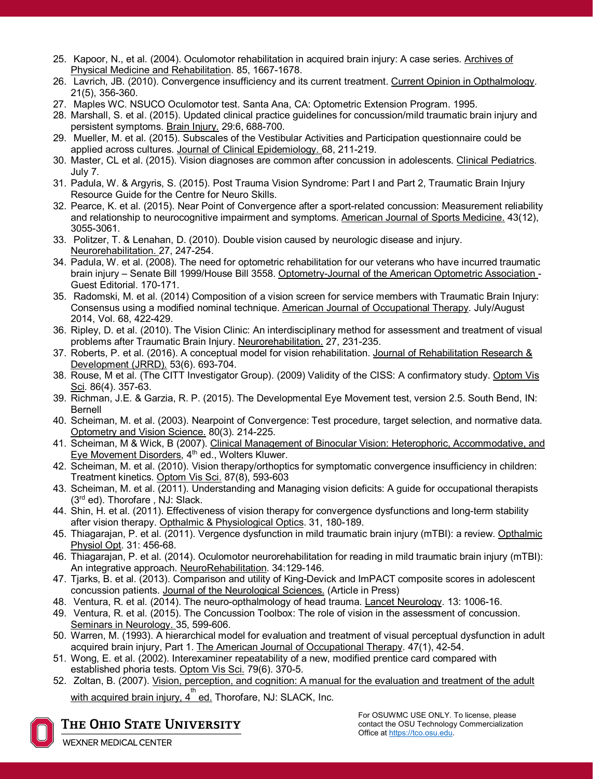- 25. Kapoor, N., et al. (2004). Oculomotor rehabilitation in acquired brain injury: A case series. Archives of Physical Medicine and Rehabilitation. 85, 1667-1678.
- 26. Lavrich, JB. (2010). Convergence insufficiency and its current treatment. Current Opinion in Opthalmology. 21(5), 356-360.
- 27. Maples WC. NSUCO Oculomotor test. Santa Ana, CA: Optometric Extension Program. 1995.
- 28. Marshall, S. et al. (2015). Updated clinical practice guidelines for concussion/mild traumatic brain injury and persistent symptoms. Brain Injury. 29:6, 688-700.
- 29. Mueller, M. et al. (2015). Subscales of the Vestibular Activities and Participation questionnaire could be applied across cultures. Journal of Clinical Epidemiology. 68, 211-219.
- 30. Master, CL et al. (2015). Vision diagnoses are common after concussion in adolescents. Clinical Pediatrics. July 7.
- 31. Padula, W. & Argyris, S. (2015). Post Trauma Vision Syndrome: Part I and Part 2, Traumatic Brain Injury Resource Guide for the Centre for Neuro Skills.
- 32. Pearce, K. et al. (2015). Near Point of Convergence after a sport-related concussion: Measurement reliability and relationship to neurocognitive impairment and symptoms. American Journal of Sports Medicine. 43(12), 3055-3061.
- 33. Politzer, T. & Lenahan, D. (2010). Double vision caused by neurologic disease and injury. Neurorehabilitation. 27, 247-254.
- 34. Padula, W. et al. (2008). The need for optometric rehabilitation for our veterans who have incurred traumatic brain injury – Senate Bill 1999/House Bill 3558. Optometry-Journal of the American Optometric Association - Guest Editorial. 170-171.
- 35. Radomski, M. et al. (2014) Composition of a vision screen for service members with Traumatic Brain Injury: Consensus using a modified nominal technique. American Journal of Occupational Therapy. July/August 2014, Vol. 68, 422-429.
- 36. Ripley, D. et al. (2010). The Vision Clinic: An interdisciplinary method for assessment and treatment of visual problems after Traumatic Brain Injury. Neurorehabilitation. 27, 231-235.
- 37. Roberts, P. et al. (2016). A conceptual model for vision rehabilitation. Journal of Rehabilitation Research & Development (JRRD). 53(6). 693-704.
- 38. Rouse, M et al. (The CITT Investigator Group). (2009) Validity of the CISS: A confirmatory study. Optom Vis Sci. 86(4). 357-63.
- 39. Richman, J.E. & Garzia, R. P. (2015). The Developmental Eye Movement test, version 2.5. South Bend, IN: Bernell
- 40. Scheiman, M. et al. (2003). Nearpoint of Convergence: Test procedure, target selection, and normative data. Optometry and Vision Science. 80(3). 214-225.
- 41. Scheiman, M & Wick, B (2007). Clinical Management of Binocular Vision: Heterophoric, Accommodative, and Eye Movement Disorders, 4<sup>th</sup> ed., Wolters Kluwer.
- 42. Scheiman, M. et al. (2010). Vision therapy/orthoptics for symptomatic convergence insufficiency in children: Treatment kinetics. Optom Vis Sci. 87(8), 593-603
- 43. Scheiman, M. et al. (2011). Understanding and Managing vision deficits: A guide for occupational therapists (3rd ed). Thorofare , NJ: Slack.
- 44. Shin, H. et al. (2011). Effectiveness of vision therapy for convergence dysfunctions and long-term stability after vision therapy. Opthalmic & Physiological Optics. 31, 180-189.
- 45. Thiagarajan, P. et al. (2011). Vergence dysfunction in mild traumatic brain injury (mTBI): a review. Opthalmic Physiol Opt. 31: 456-68.
- 46. Thiagarajan, P. et al. (2014). Oculomotor neurorehabilitation for reading in mild traumatic brain injury (mTBI): An integrative approach. NeuroRehabilitation. 34:129-146.
- 47. Tjarks, B. et al. (2013). Comparison and utility of King-Devick and ImPACT composite scores in adolescent concussion patients. Journal of the Neurological Sciences. (Article in Press)
- 48. Ventura, R. et al. (2014). The neuro-opthalmology of head trauma. Lancet Neurology. 13: 1006-16.
- 49. Ventura, R. et al. (2015). The Concussion Toolbox: The role of vision in the assessment of concussion. Seminars in Neurology. 35, 599-606.
- 50. Warren, M. (1993). A hierarchical model for evaluation and treatment of visual perceptual dysfunction in adult acquired brain injury, Part 1. The American Journal of Occupational Therapy. 47(1), 42-54.
- 51. Wong, E. et al. (2002). Interexaminer repeatability of a new, modified prentice card compared with established phoria tests. Optom Vis Sci. 79(6). 370-5.
- 52. Zoltan, B. (2007). Vision, perception, and cognition: A manual for the evaluation and treatment of the adult

with acquired brain injury, 4<sup>th</sup> ed. Thorofare, NJ: SLACK, Inc.



The Ohio State University **WEXNER MEDICAL CENTER**